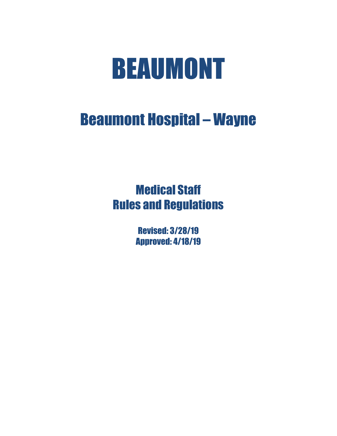# BEAUMONT

## Beaumont Hospital – Wayne

## Medical Staff Rules and Regulations

Revised: 3/28/19 Approved: 4/18/19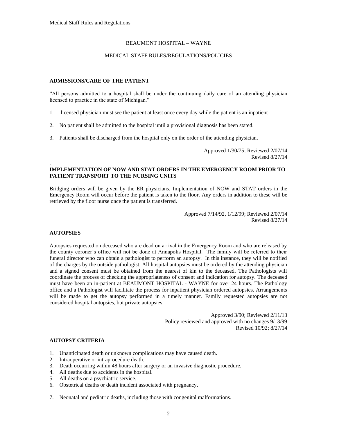#### BEAUMONT HOSPITAL – WAYNE

#### MEDICAL STAFF RULES/REGULATIONS/POLICIES

#### **ADMISSIONS/CARE OF THE PATIENT**

"All persons admitted to a hospital shall be under the continuing daily care of an attending physician licensed to practice in the state of Michigan."

- 1. licensed physician must see the patient at least once every day while the patient is an inpatient
- 2. No patient shall be admitted to the hospital until a provisional diagnosis has been stated.
- 3. Patients shall be discharged from the hospital only on the order of the attending physician.

Approved 1/30/75; Reviewed 2/07/14 Revised 8/27/14

#### **IMPLEMENTATION OF NOW AND STAT ORDERS IN THE EMERGENCY ROOM PRIOR TO PATIENT TRANSPORT TO THE NURSING UNITS**

Bridging orders will be given by the ER physicians. Implementation of NOW and STAT orders in the Emergency Room will occur before the patient is taken to the floor. Any orders in addition to these will be retrieved by the floor nurse once the patient is transferred.

> Approved 7/14/92, 1/12/99; Reviewed 2/07/14 Revised 8/27/14

#### **AUTOPSIES**

.

Autopsies requested on deceased who are dead on arrival in the Emergency Room and who are released by the county coroner's office will not be done at Annapolis Hospital. The family will be referred to their funeral director who can obtain a pathologist to perform an autopsy. In this instance, they will be notified of the charges by the outside pathologist. All hospital autopsies must be ordered by the attending physician and a signed consent must be obtained from the nearest of kin to the deceased. The Pathologists will coordinate the process of checking the appropriateness of consent and indication for autopsy. The deceased must have been an in-patient at BEAUMONT HOSPITAL - WAYNE for over 24 hours. The Pathology office and a Pathologist will facilitate the process for inpatient physician ordered autopsies. Arrangements will be made to get the autopsy performed in a timely manner. Family requested autopsies are not considered hospital autopsies, but private autopsies.

> Approved 3/90; Reviewed 2/11/13 Policy reviewed and approved with no changes 9/13/99 Revised 10/92; 8/27/14

#### **AUTOPSY CRITERIA**

- 1. Unanticipated death or unknown complications may have caused death.
- 2. Intraoperative or intraprocedure death.
- 3. Death occurring within 48 hours after surgery or an invasive diagnostic procedure.
- 4. All deaths due to accidents in the hospital.
- 5. All deaths on a psychiatric service.
- 6. Obstetrical deaths or death incident associated with pregnancy.
- 7. Neonatal and pediatric deaths, including those with congenital malformations.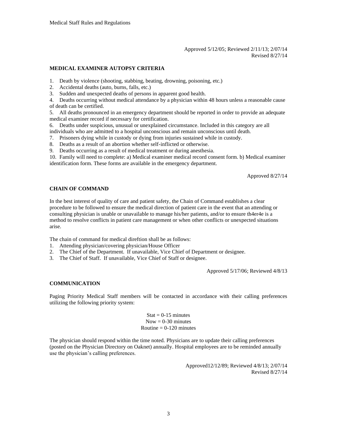#### Approved 5/12/05; Reviewed 2/11/13; 2/07/14 Revised 8/27/14

#### **MEDICAL EXAMINER AUTOPSY CRITERIA**

- 1. Death by violence (shooting, stabbing, beating, drowning, poisoning, etc.)
- 2. Accidental deaths (auto, burns, falls, etc.)
- 3. Sudden and unexpected deaths of persons in apparent good health.

4. Deaths occurring without medical attendance by a physician within 48 hours unless a reasonable cause of death can be certified.

5. All deaths pronounced in an emergency department should be reported in order to provide an adequate medical examiner record if necessary for certification.

6. Deaths under suspicious, unusual or unexplained circumstance. Included in this category are all

individuals who are admitted to a hospital unconscious and remain unconscious until death.

- 7. Prisoners dying while in custody or dying from injuries sustained while in custody.
- 8. Deaths as a result of an abortion whether self-inflicted or otherwise.

9. Deaths occurring as a result of medical treatment or during anesthesia.

10. Family will need to complete: a) Medical examiner medical record consent form. b) Medical examiner identification form. These forms are available in the emergency department.

Approved 8/27/14

#### **CHAIN OF COMMAND**

In the best interest of quality of care and patient safety, the Chain of Command establishes a clear procedure to be followed to ensure the medical direction of patient care in the event that an attending or consulting physician is unable or unavailable to manage his/her patients, and/or to ensure th4er4e is a method to resolve conflicts in patient care management or when other conflicts or unexpected situations arise.

The chain of command for medical direftion shall be as follows:

- 1. Attending physician/covering physician/House Officer
- 2. The Chief of the Department. If unavailable, Vice Chief of Department or designee.
- 3. The Chief of Staff. If unavailable, Vice Chief of Staff or designee.

Approved 5/17/06; Reviewed 4/8/13

#### **COMMUNICATION**

Paging Priority Medical Staff members will be contacted in accordance with their calling preferences utilizing the following priority system:

> $Stat = 0-15$  minutes  $Now = 0-30$  minutes Routine  $= 0-120$  minutes

The physician should respond within the time noted. Physicians are to update their calling preferences (posted on the Physician Directory on Oaknet) annually. Hospital employees are to be reminded annually use the physician's calling preferences.

> Approved12/12/89; Reviewed 4/8/13; 2/07/14 Revised 8/27/14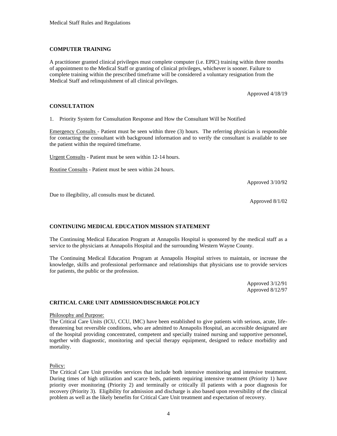#### **COMPUTER TRAINING**

A practitioner granted clinical privileges must complete computer (i.e. EPIC) training within three months of appointment to the Medical Staff or granting of clinical privileges, whichever is sooner. Failure to complete training within the prescribed timeframe will be considered a voluntary resignation from the Medical Staff and relinquishment of all clinical privileges.

Approved 4/18/19

#### **CONSULTATION**

1. Priority System for Consultation Response and How the Consultant Will be Notified

Emergency Consults - Patient must be seen within three (3) hours. The referring physician is responsible for contacting the consultant with background information and to verify the consultant is available to see the patient within the required timeframe.

Urgent Consults - Patient must be seen within 12-14 hours.

Routine Consults - Patient must be seen within 24 hours.

Approved 3/10/92

Due to illegibility, all consults must be dictated.

Approved 8/1/02

#### **CONTINUING MEDICAL EDUCATION MISSION STATEMENT**

The Continuing Medical Education Program at Annapolis Hospital is sponsored by the medical staff as a service to the physicians at Annapolis Hospital and the surrounding Western Wayne County.

The Continuing Medical Education Program at Annapolis Hospital strives to maintain, or increase the knowledge, skills and professional performance and relationships that physicians use to provide services for patients, the public or the profession.

> Approved 3/12/91 Approved 8/12/97

#### **CRITICAL CARE UNIT ADMISSION/DISCHARGE POLICY**

#### Philosophy and Purpose:

The Critical Care Units (ICU, CCU, IMC) have been established to give patients with serious, acute, lifethreatening but reversible conditions, who are admitted to Annapolis Hospital, an accessible designated are of the hospital providing concentrated, competent and specially trained nursing and supportive personnel, together with diagnostic, monitoring and special therapy equipment, designed to reduce morbidity and mortality.

Policy:

The Critical Care Unit provides services that include both intensive monitoring and intensive treatment. During times of high utilization and scarce beds, patients requiring intensive treatment (Priority 1) have priority over monitoring (Priority 2) and terminally or critically ill patients with a poor diagnosis for recovery (Priority 3). Eligibility for admission and discharge is also based upon reversibility of the clinical problem as well as the likely benefits for Critical Care Unit treatment and expectation of recovery.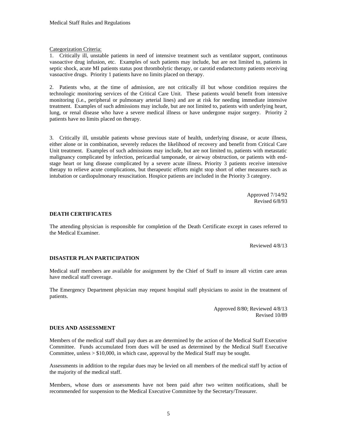Categorization Criteria:

1. Critically ill, unstable patients in need of intensive treatment such as ventilator support, continuous vasoactive drug infusion, etc. Examples of such patients may include, but are not limited to, patients in septic shock, acute MI patients status post thrombolytic therapy, or carotid endartectomy patients receiving vasoactive drugs. Priority 1 patients have no limits placed on therapy.

2. Patients who, at the time of admission, are not critically ill but whose condition requires the technologic monitoring services of the Critical Care Unit. These patients would benefit from intensive monitoring (i.e., peripheral or pulmonary arterial lines) and are at risk for needing immediate intensive treatment. Examples of such admissions may include, but are not limited to, patients with underlying heart, lung, or renal disease who have a severe medical illness or have undergone major surgery. Priority 2 patients have no limits placed on therapy.

3. Critically ill, unstable patients whose previous state of health, underlying disease, or acute illness, either alone or in combination, severely reduces the likelihood of recovery and benefit from Critical Care Unit treatment. Examples of such admissions may include, but are not limited to, patients with metastatic malignancy complicated by infection, pericardial tamponade, or airway obstruction, or patients with endstage heart or lung disease complicated by a severe acute illness. Priority 3 patients receive intensive therapy to relieve acute complications, but therapeutic efforts might stop short of other measures such as intubation or cardiopulmonary resuscitation. Hospice patients are included in the Priority 3 category.

> Approved 7/14/92 Revised 6/8/93

#### **DEATH CERTIFICATES**

The attending physician is responsible for completion of the Death Certificate except in cases referred to the Medical Examiner.

Reviewed 4/8/13

#### **DISASTER PLAN PARTICIPATION**

Medical staff members are available for assignment by the Chief of Staff to insure all victim care areas have medical staff coverage.

The Emergency Department physician may request hospital staff physicians to assist in the treatment of patients.

> Approved 8/80; Reviewed 4/8/13 Revised 10/89

#### **DUES AND ASSESSMENT**

Members of the medical staff shall pay dues as are determined by the action of the Medical Staff Executive Committee. Funds accumulated from dues will be used as determined by the Medical Staff Executive Committee, unless > \$10,000, in which case, approval by the Medical Staff may be sought.

Assessments in addition to the regular dues may be levied on all members of the medical staff by action of the majority of the medical staff.

Members, whose dues or assessments have not been paid after two written notifications, shall be recommended for suspension to the Medical Executive Committee by the Secretary/Treasurer.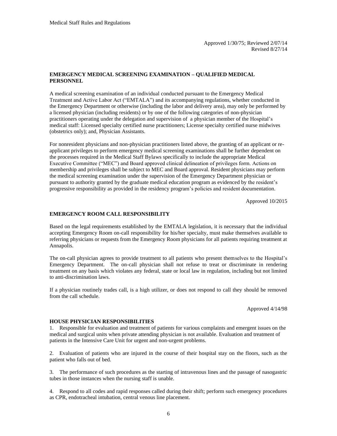#### **EMERGENCY MEDICAL SCREENING EXAMINATION – QUALIFIED MEDICAL PERSONNEL**

A medical screening examination of an individual conducted pursuant to the Emergency Medical Treatment and Active Labor Act ("EMTALA") and its accompanying regulations, whether conducted in the Emergency Department or otherwise (including the labor and delivery area), may only be performed by a licensed physician (including residents) or by one of the following categories of non-physician practitioners operating under the delegation and supervision of a physician member of the Hospital's medical staff: Licensed specialty certified nurse practitioners; License specialty certified nurse midwives (obstetrics only); and, Physician Assistants.

For nonresident physicians and non-physician practitioners listed above, the granting of an applicant or reapplicant privileges to perform emergency medical screening examinations shall be further dependent on the processes required in the Medical Staff Bylaws specifically to include the appropriate Medical Executive Committee ("MEC") and Board approved clinical delineation of privileges form. Actions on membership and privileges shall be subject to MEC and Board approval. Resident physicians may perform the medical screening examination under the supervision of the Emergency Department physician or pursuant to authority granted by the graduate medical education program as evidenced by the resident's progressive responsibility as provided in the residency program's policies and resident documentation.

Approved 10/2015

#### **EMERGENCY ROOM CALL RESPONSIBILITY**

Based on the legal requirements established by the EMTALA legislation, it is necessary that the individual accepting Emergency Room on-call responsibility for his/her specialty, must make themselves available to referring physicians or requests from the Emergency Room physicians for all patients requiring treatment at Annapolis.

The on-call physician agrees to provide treatment to all patients who present themselves to the Hospital's Emergency Department. The on-call physician shall not refuse to treat or discriminate in rendering treatment on any basis which violates any federal, state or local law in regulation, including but not limited to anti-discrimination laws.

If a physician routinely trades call, is a high utilizer, or does not respond to call they should be removed from the call schedule.

Approved 4/14/98

#### **HOUSE PHYSICIAN RESPONSIBILITIES**

1. Responsible for evaluation and treatment of patients for various complaints and emergent issues on the medical and surgical units when private attending physician is not available. Evaluation and treatment of patients in the Intensive Care Unit for urgent and non-urgent problems.

2. Evaluation of patients who are injured in the course of their hospital stay on the floors, such as the patient who falls out of bed.

3. The performance of such procedures as the starting of intravenous lines and the passage of nasogastric tubes in those instances when the nursing staff is unable.

4. Respond to all codes and rapid responses called during their shift; perform such emergency procedures as CPR, endotracheal intubation, central venous line placement.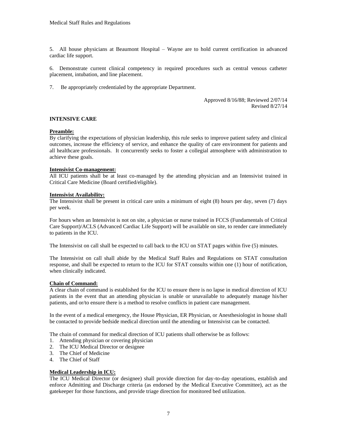5. All house physicians at Beaumont Hospital – Wayne are to hold current certification in advanced cardiac life support.

6. Demonstrate current clinical competency in required procedures such as central venous catheter placement, intubation, and line placement.

7. Be appropriately credentialed by the appropriate Department.

Approved 8/16/88; Reviewed 2/07/14 Revised 8/27/14

#### **INTENSIVE CARE**

#### **Preamble:**

By clarifying the expectations of physician leadership, this rule seeks to improve patient safety and clinical outcomes, increase the efficiency of service, and enhance the quality of care environment for patients and all healthcare professionals. It concurrently seeks to foster a collegial atmosphere with administration to achieve these goals.

#### **Intensivist Co-management:**

All ICU patients shall be at least co-managed by the attending physician and an Intensivist trained in Critical Care Medicine (Board certified/eligible).

#### **Intensivist Availability:**

The Intensivist shall be present in critical care units a minimum of eight (8) hours per day, seven (7) days per week.

For hours when an Intensivist is not on site, a physician or nurse trained in FCCS (Fundamentals of Critical Care Support)/ACLS (Advanced Cardiac Life Support) will be available on site, to render care immediately to patients in the ICU.

The Intensivist on call shall be expected to call back to the ICU on STAT pages within five (5) minutes.

The Intensivist on call shall abide by the Medical Staff Rules and Regulations on STAT consultation response, and shall be expected to return to the ICU for STAT consults within one (1) hour of notification, when clinically indicated.

#### **Chain of Command:**

A clear chain of command is established for the ICU to ensure there is no lapse in medical direction of ICU patients in the event that an attending physician is unable or unavailable to adequately manage his/her patients, and or/to ensure there is a method to resolve conflicts in patient care management.

In the event of a medical emergency, the House Physician, ER Physician, or Anesthesiologist in house shall be contacted to provide bedside medical direction until the attending or Intensivist can be contacted.

The chain of command for medical direction of ICU patients shall otherwise be as follows:

- 1. Attending physician or covering physician
- 2. The ICU Medical Director or designee
- 3. The Chief of Medicine
- 4. The Chief of Staff

#### **Medical Leadership in ICU:**

The ICU Medical Director (or designee) shall provide direction for day-to-day operations, establish and enforce Admitting and Discharge criteria (as endorsed by the Medical Executive Committee), act as the gatekeeper for those functions, and provide triage direction for monitored bed utilization.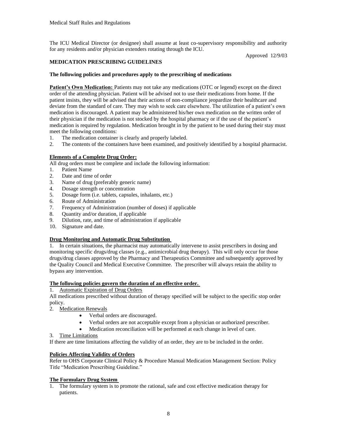The ICU Medical Director (or designee) shall assume at least co-supervisory responsibility and authority for any residents and/or physician extenders rotating through the ICU.

Approved 12/9/03

#### **MEDICATION PRESCRIBING GUIDELINES**

#### **The following policies and procedures apply to the prescribing of medications**

**Patient's Own Medication:** Patients may not take any medications (OTC or legend) except on the direct order of the attending physician. Patient will be advised not to use their medications from home. If the patient insists, they will be advised that their actions of non-compliance jeopardize their healthcare and deviate from the standard of care. They may wish to seek care elsewhere. The utilization of a patient's own medication is discouraged. A patient may be administered his/her own medication on the written order of their physician if the medication is not stocked by the hospital pharmacy or if the use of the patient's medication is required by regulation. Medication brought in by the patient to be used during their stay must meet the following conditions:

- 1. The medication container is clearly and properly labeled.
- 2. The contents of the containers have been examined, and positively identified by a hospital pharmacist.

#### **Elements of a Complete Drug Order:**

All drug orders must be complete and include the following information:

- 1. Patient Name
- 2. Date and time of order
- 3. Name of drug (preferably generic name)
- 4. Dosage strength or concentration
- 5. Dosage form (i.e. tablets, capsules, inhalants, etc.)
- 6. Route of Administration
- 7. Frequency of Administration (number of doses) if applicable
- 8. Quantity and/or duration, if applicable
- 9. Dilution, rate, and time of administration if applicable
- 10. Signature and date.

#### **Drug Monitoring and Automatic Drug Substitution**

1. In certain situations, the pharmacist may automatically intervene to assist prescribers in dosing and monitoring specific drugs/drug classes (e.g., antimicrobial drug therapy). This will only occur for those drugs/drug classes approved by the Pharmacy and Therapeutics Committee and subsequently approved by the Quality Council and Medical Executive Committee. The prescriber will always retain the ability to bypass any intervention.

#### **The following policies govern the duration of an effective order.**

#### 1. Automatic Expiration of Drug Orders

All medications prescribed without duration of therapy specified will be subject to the specific stop order policy.

- 2. Medication Renewals
	- Verbal orders are discouraged.
	- Verbal orders are not acceptable except from a physician or authorized prescriber.
	- Medication reconciliation will be performed at each change in level of care.
- 3. Time Limitations

If there are time limitations affecting the validity of an order, they are to be included in the order.

#### **Policies Affecting Validity of Orders**

Refer to OHS Corporate Clinical Policy & Procedure Manual Medication Management Section: Policy Title "Medication Prescribing Guideline."

#### **The Formulary Drug System**

1. The formulary system is to promote the rational, safe and cost effective medication therapy for patients.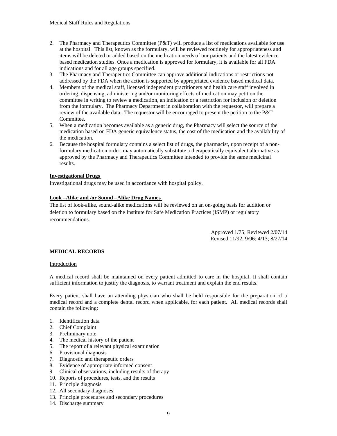- 2. The Pharmacy and Therapeutics Committee  $(P&T)$  will produce a list of medications available for use at the hospital. This list, known as the formulary, will be reviewed routinely for appropriateness and items will be deleted or added based on the medication needs of our patients and the latest evidence based medication studies. Once a medication is approved for formulary, it is available for all FDA indications and for all age groups specified.
- 3. The Pharmacy and Therapeutics Committee can approve additional indications or restrictions not addressed by the FDA when the action is supported by appropriated evidence based medical data.
- 4. Members of the medical staff, licensed independent practitioners and health care staff involved in ordering, dispensing, administering and/or monitoring effects of medication may petition the committee in writing to review a medication, an indication or a restriction for inclusion or deletion from the formulary. The Pharmacy Department in collaboration with the requestor, will prepare a review of the available data. The requestor will be encouraged to present the petition to the P&T Committee.
- 5. When a medication becomes available as a generic drug, the Pharmacy will select the source of the medication based on FDA generic equivalence status, the cost of the medication and the availability of the medication.
- 6. Because the hospital formulary contains a select list of drugs, the pharmacist, upon receipt of a nonformulary medication order, may automatically substitute a therapeutically equivalent alternative as approved by the Pharmacy and Therapeutics Committee intended to provide the same medicinal results.

#### **Investigational Drugs**

Investigational drugs may be used in accordance with hospital policy.

#### **Look –Alike and /or Sound –Alike Drug Names**

The list of look-alike, sound-alike medications will be reviewed on an on-going basis for addition or deletion to formulary based on the Institute for Safe Medication Practices (ISMP) or regulatory recommendations.

> Approved 1/75; Reviewed 2/07/14 Revised 11/92; 9/96; 4/13; 8/27/14

#### **MEDICAL RECORDS**

#### Introduction

A medical record shall be maintained on every patient admitted to care in the hospital. It shall contain sufficient information to justify the diagnosis, to warrant treatment and explain the end results.

Every patient shall have an attending physician who shall be held responsible for the preparation of a medical record and a complete dental record when applicable, for each patient. All medical records shall contain the following:

- 1. Identification data
- 2. Chief Complaint
- 3. Preliminary note
- 4. The medical history of the patient
- 5. The report of a relevant physical examination
- 6. Provisional diagnosis
- 7. Diagnostic and therapeutic orders
- 8. Evidence of appropriate informed consent
- 9. Clinical observations, including results of therapy
- 10. Reports of procedures, tests, and the results
- 11. Principle diagnosis
- 12. All secondary diagnoses
- 13. Principle procedures and secondary procedures
- 14. Discharge summary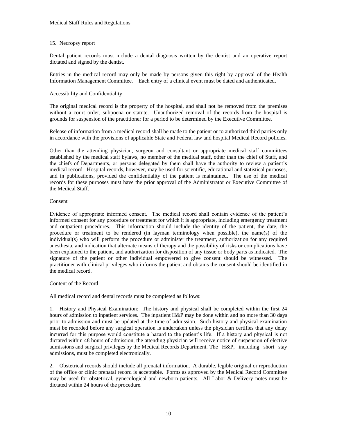#### 15. Necropsy report

Dental patient records must include a dental diagnosis written by the dentist and an operative report dictated and signed by the dentist.

Entries in the medical record may only be made by persons given this right by approval of the Health Information Management Committee. Each entry of a clinical event must be dated and authenticated.

#### Accessibility and Confidentiality

The original medical record is the property of the hospital, and shall not be removed from the premises without a court order, subpoena or statute. Unauthorized removal of the records from the hospital is grounds for suspension of the practitioner for a period to be determined by the Executive Committee.

Release of information from a medical record shall be made to the patient or to authorized third parties only in accordance with the provisions of applicable State and Federal law and hospital Medical Record policies.

Other than the attending physician, surgeon and consultant or appropriate medical staff committees established by the medical staff bylaws, no member of the medical staff, other than the chief of Staff, and the chiefs of Departments, or persons delegated by them shall have the authority to review a patient's medical record. Hospital records, however, may be used for scientific, educational and statistical purposes, and in publications, provided the confidentiality of the patient is maintained. The use of the medical records for these purposes must have the prior approval of the Administrator or Executive Committee of the Medical Staff.

#### Consent

Evidence of appropriate informed consent. The medical record shall contain evidence of the patient's informed consent for any procedure or treatment for which it is appropriate, including emergency treatment and outpatient procedures. This information should include the identity of the patient, the date, the procedure or treatment to be rendered (in layman terminology when possible), the name(s) of the individual(s) who will perform the procedure or administer the treatment, authorization for any required anesthesia, and indication that alternate means of therapy and the possibility of risks or complications have been explained to the patient, and authorization for disposition of any tissue or body parts as indicated. The signature of the patient or other individual empowered to give consent should be witnessed. The practitioner with clinical privileges who informs the patient and obtains the consent should be identified in the medical record.

#### Content of the Record

All medical record and dental records must be completed as follows:

1. History and Physical Examination: The history and physical shall be completed within the first 24 hours of admission to inpatient services. The inpatient H&P may be done within and no more than 30 days prior to admission and must be updated at the time of admission. Such history and physical examination must be recorded before any surgical operation is undertaken unless the physician certifies that any delay incurred for this purpose would constitute a hazard to the patient's life. If a history and physical is not dictated within 48 hours of admission, the attending physician will receive notice of suspension of elective admissions and surgical privileges by the Medical Records Department. The H&P, including short stay admissions, must be completed electronically.

2. Obstetrical records should include all prenatal information. A durable, legible original or reproduction of the office or clinic prenatal record is acceptable. Forms as approved by the Medical Record Committee may be used for obstetrical, gynecological and newborn patients. All Labor & Delivery notes must be dictated within 24 hours of the procedure.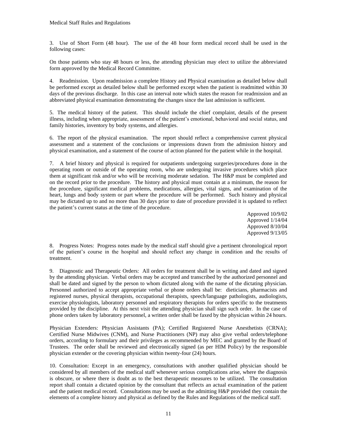3. Use of Short Form (48 hour). The use of the 48 hour form medical record shall be used in the following cases:

On those patients who stay 48 hours or less, the attending physician may elect to utilize the abbreviated form approved by the Medical Record Committee.

4. Readmission. Upon readmission a complete History and Physical examination as detailed below shall be performed except as detailed below shall be performed except when the patient is readmitted within 30 days of the previous discharge. In this case an interval note which states the reason for readmission and an abbreviated physical examination demonstrating the changes since the last admission is sufficient.

5. The medical history of the patient. This should include the chief complaint, details of the present illness, including when appropriate, assessment of the patient's emotional, behavioral and social status, and family histories, inventory by body systems, and allergies.

6. The report of the physical examination. The report should reflect a comprehensive current physical assessment and a statement of the conclusions or impressions drawn from the admission history and physical examination, and a statement of the course of action planned for the patient while in the hospital.

7. A brief history and physical is required for outpatients undergoing surgeries/procedures done in the operating room or outside of the operating room, who are undergoing invasive procedures which place them at significant risk and/or who will be receiving moderate sedation. The H&P must be completed and on the record prior to the procedure. The history and physical must contain at a minimum, the reason for the procedure, significant medical problems, medications, allergies, vital signs, and examination of the heart, lungs and body system or part where the procedure will be performed. Such history and physical may be dictated up to and no more than 30 days prior to date of procedure provided it is updated to reflect the patient's current status at the time of the procedure.

> Approved 10/9/02 Approved 1/14/04 Approved 8/10/04 Approved 9/13/05

8. Progress Notes: Progress notes made by the medical staff should give a pertinent chronological report of the patient's course in the hospital and should reflect any change in condition and the results of treatment.

9. Diagnostic and Therapeutic Orders: All orders for treatment shall be in writing and dated and signed by the attending physician. Verbal orders may be accepted and transcribed by the authorized personnel and shall be dated and signed by the person to whom dictated along with the name of the dictating physician. Personnel authorized to accept appropriate verbal or phone orders shall be: dieticians, pharmacists and registered nurses, physical therapists, occupational therapists, speech/language pathologists, audiologists, exercise physiologists, laboratory personnel and respiratory therapists for orders specific to the treatments provided by the discipline. At this next visit the attending physician shall sign such order. In the case of phone orders taken by laboratory personnel, a written order shall be faxed by the physician within 24 hours.

Physician Extenders: Physician Assistants (PA); Certified Registered Nurse Anesthetists (CRNA); Certified Nurse Midwives (CNM), and Nurse Practitioners (NP) may also give verbal orders/telephone orders, according to formulary and their privileges as recommended by MEC and granted by the Board of Trustees. The order shall be reviewed and electronically signed (as per HIM Policy) by the responsible physician extender or the covering physician within twenty-four (24) hours.

10. Consultation: Except in an emergency, consultations with another qualified physician should be considered by all members of the medical staff whenever serious complications arise, where the diagnosis is obscure, or where there is doubt as to the best therapeutic measures to be utilized. The consultation report shall contain a dictated opinion by the consultant that reflects an actual examination of the patient and the patient medical record. Consultations may be used as the admitting H&P provided they contain the elements of a complete history and physical as defined by the Rules and Regulations of the medical staff.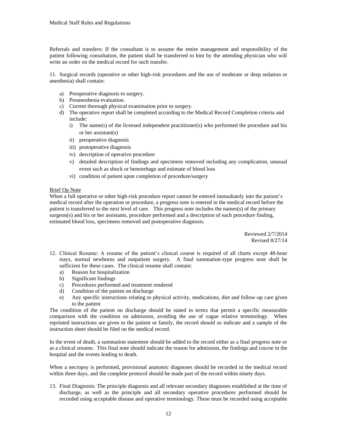Referrals and transfers: If the consultant is to assume the entire management and responsibility of the patient following consultation, the patient shall be transferred to him by the attending physician who will write an order on the medical record for such transfer.

11. Surgical records (operative or other high-risk procedures and the use of moderate or deep sedation or anesthesia) shall contain:

- a) Preoperative diagnosis to surgery.
- b) Preanesthesia evaluation.
- c) Current thorough physical examination prior to surgery.
- d) The operative report shall be completed according to the Medical Record Completion criteria and include:
	- i) The name(s) of the licensed independent practitioner(s) who performed the procedure and his or her assistant(s)
	- ii) preoperative diagnosis
	- iii) postoperative diagnosis
	- iv) description of operative procedure
	- v) detailed description of findings and specimens removed including any complication, unusual event such as shock or hemorrhage and estimate of blood loss
	- vi) condition of patient upon completion of procedure/surgery

#### Brief Op Note

When a full operative or other high-risk procedure report cannot be entered immediately into the patient's medical record after the operation or procedure, a progress note is entered in the medical record before the patient is transferred to the next level of care. This progress note includes the names(s) of the primary surgeon(s) and his or her assistants, procedure performed and a description of each procedure finding, estimated blood loss, specimens removed and postoperative diagnosis.

> Reviewed 2/7/2014 Revised 8/27/14

- 12. Clinical Resume: A resume of the patient's clinical course is required of all charts except 48-hour stays, normal newborns and outpatient surgery. A final summation-type progress note shall be sufficient for these cases. The clinical resume shall contain:
	- a) Reason for hospitalization
	- b) Significant findings
	- c) Procedures performed and treatment rendered
	- d) Condition of the patient on discharge
	- e) Any specific instructions relating to physical activity, medications, diet and follow-up care given to the patient

The condition of the patient on discharge should be stated in terms that permit a specific measurable comparison with the condition on admission, avoiding the use of vague relative terminology. When reprinted instructions are given to the patient or family, the record should so indicate and a sample of the instruction sheet should be filed on the medical record.

In the event of death, a summation statement should be added to the record either as a final progress note or as a clinical resume. This final note should indicate the reason for admission, the findings and course in the hospital and the events leading to death.

When a necropsy is performed, provisional anatomic diagnoses should be recorded in the medical record within three days, and the complete protocol should be made part of the record within ninety days.

13. Final Diagnosis: The principle diagnosis and all relevant secondary diagnoses established at the time of discharge, as well as the principle and all secondary operative procedures performed should be recorded using acceptable disease and operative terminology. These must be recorded using acceptable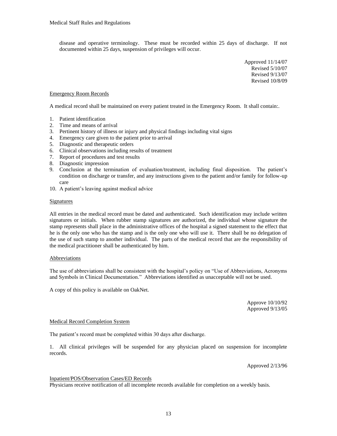disease and operative terminology. These must be recorded within 25 days of discharge. If not documented within 25 days, suspension of privileges will occur.

> Approved 11/14/07 Revised 5/10/07 Revised 9/13/07 Revised 10/8/09

#### Emergency Room Records

A medical record shall be maintained on every patient treated in the Emergency Room. It shall contain:.

- 1. Patient identification
- 2. Time and means of arrival
- 3. Pertinent history of illness or injury and physical findings including vital signs
- 4. Emergency care given to the patient prior to arrival
- 5. Diagnostic and therapeutic orders
- 6. Clinical observations including results of treatment
- 7. Report of procedures and test results
- 8. Diagnostic impression
- 9. Conclusion at the termination of evaluation/treatment, including final disposition. The patient's condition on discharge or transfer, and any instructions given to the patient and/or family for follow-up care
- 10. A patient's leaving against medical advice

#### Signatures

All entries in the medical record must be dated and authenticated. Such identification may include written signatures or initials. When rubber stamp signatures are authorized, the individual whose signature the stamp represents shall place in the administrative offices of the hospital a signed statement to the effect that he is the only one who has the stamp and is the only one who will use it. There shall be no delegation of the use of such stamp to another individual. The parts of the medical record that are the responsibility of the medical practitioner shall be authenticated by him.

#### Abbreviations

The use of abbreviations shall be consistent with the hospital's policy on "Use of Abbreviations, Acronyms and Symbols in Clinical Documentation." Abbreviations identified as unacceptable will not be used.

A copy of this policy is available on OakNet.

Approve 10/10/92 Approved 9/13/05

#### Medical Record Completion System

The patient's record must be completed within 30 days after discharge.

1. All clinical privileges will be suspended for any physician placed on suspension for incomplete records.

Approved 2/13/96

#### Inpatient/POS/Observation Cases/ED Records

Physicians receive notification of all incomplete records available for completion on a weekly basis.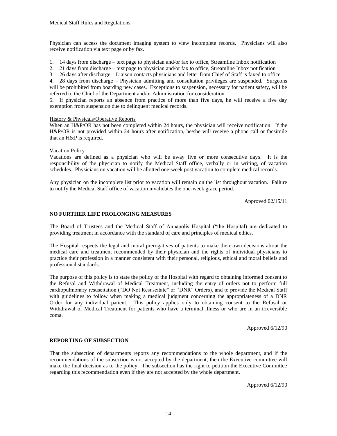Physician can access the document imaging system to view incomplete records. Physicians will also receive notification via text page or by fax.

- 1. 14 days from discharge text page to physician and/or fax to office, Streamline Inbox notification
- 2. 21 days from discharge text page to physician and/or fax to office, Streamline Inbox notification
- 3. 26 days after discharge Liaison contacts physicians and letter from Chief of Staff is faxed to office

4. 28 days from discharge – Physician admitting and consultation privileges are suspended. Surgeons will be prohibited from boarding new cases. Exceptions to suspension, necessary for patient safety, will be referred to the Chief of the Department and/or Administration for consideration

5. If physician reports an absence from practice of more than five days, he will receive a five day exemption from suspension due to delinquent medical records.

#### History & Physicals/Operative Reports

When an H&P/OR has not been completed within 24 hours, the physician will receive notification. If the H&P/OR is not provided within 24 hours after notification, he/she will receive a phone call or facsimile that an H&P is required.

#### Vacation Policy

Vacations are defined as a physician who will be away five or more consecutive days. It is the responsibility of the physician to notify the Medical Staff office, verbally or in writing, of vacation schedules. Physicians on vacation will be allotted one-week post vacation to complete medical records.

Any physician on the incomplete list prior to vacation will remain on the list throughout vacation. Failure to notify the Medical Staff office of vacation invalidates the one-week grace period.

Approved 02/15/11

#### **NO FURTHER LIFE PROLONGING MEASURES**

The Board of Trustees and the Medical Staff of Annapolis Hospital ("the Hospital) are dedicated to providing treatment in accordance with the standard of care and principles of medical ethics.

The Hospital respects the legal and moral prerogatives of patients to make their own decisions about the medical care and treatment recommended by their physician and the rights of individual physicians to practice their profession in a manner consistent with their personal, religious, ethical and moral beliefs and professional standards.

The purpose of this policy is to state the policy of the Hospital with regard to obtaining informed consent to the Refusal and Withdrawal of Medical Treatment, including the entry of orders not to perform full cardiopulmonary resuscitation ("DO Not Resuscitate" or "DNR" Orders), and to provide the Medical Staff with guidelines to follow when making a medical judgment concerning the appropriateness of a DNR Order for any individual patient. This policy applies only to obtaining consent to the Refusal or Withdrawal of Medical Treatment for patients who have a terminal illness or who are in an irreversible coma.

Approved 6/12/90

#### **REPORTING OF SUBSECTION**

That the subsection of departments reports any recommendations to the whole department, and if the recommendations of the subsection is not accepted by the department, then the Executive committee will make the final decision as to the policy. The subsection has the right to petition the Executive Committee regarding this recommendation even if they are not accepted by the whole department.

Approved 6/12/90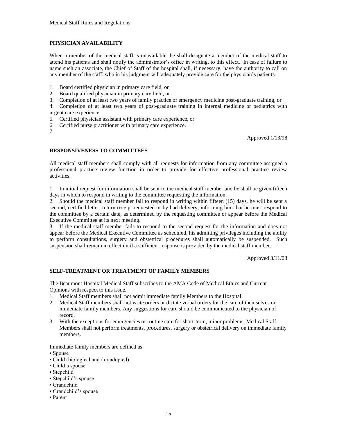#### **PHYSICIAN AVAILABILITY**

When a member of the medical staff is unavailable, he shall designate a member of the medical staff to attend his patients and shall notify the administrator's office in writing, to this effect. In case of failure to name such an associate, the Chief of Staff of the hospital shall, if necessary, have the authority to call on any member of the staff, who in his judgment will adequately provide care for the physician's patients.

- 1. Board certified physician in primary care field, or
- 2. Board qualified physician in primary care field, or
- 3. Completion of at least two years of family practice or emergency medicine post-graduate training, or

4. Completion of at least two years of post-graduate training in internal medicine or pediatrics with urgent care experience

- 5. Certified physician assistant with primary care experience, or
- 6. Certified nurse practitioner with primary care experience.
- 7.

Approved 1/13/98

#### **RESPONSIVENESS TO COMMITTEES**

All medical staff members shall comply with all requests for information from any committee assigned a professional practice review function in order to provide for effective professional practice review activities.

1. In initial request for information shall be sent to the medical staff member and he shall be given fifteen days in which to respond in writing to the committee requesting the information.

2. Should the medical staff member fail to respond in writing within fifteen (15) days, he will be sent a second, certified letter, return receipt requested or by had delivery, informing him that he must respond to the committee by a certain date, as determined by the requesting committee or appear before the Medical Executive Committee at its next meeting.

3. If the medical staff member fails to respond to the second request for the information and does not appear before the Medical Executive Committee as scheduled, his admitting privileges including the ability to perform consultations, surgery and obstetrical procedures shall automatically be suspended. Such suspension shall remain in effect until a sufficient response is provided by the medical staff member.

Approved 3/11/03

#### **SELF-TREATMENT OR TREATMENT OF FAMILY MEMBERS**

The Beaumont Hospital Medical Staff subscribes to the AMA Code of Medical Ethics and Current Opinions with respect to this issue.

- 1. Medical Staff members shall not admit immediate family Members to the Hospital.
- 2. Medical Staff members shall not write orders or dictate verbal orders for the care of themselves or immediate family members. Any suggestions for care should be communicated to the physician of record.
- 3. With the exceptions for emergencies or routine care for short-term, minor problems, Medical Staff Members shall not perform treatments, procedures, surgery or obstetrical delivery on immediate family members.

Immediate family members are defined as:

- Spouse
- Child (biological and / or adopted)
- Child's spouse
- Stepchild
- Stepchild's spouse
- Grandchild
- Grandchild's spouse
- Parent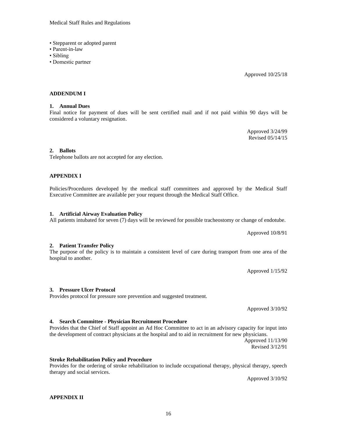#### Medical Staff Rules and Regulations

- Stepparent or adopted parent
- Parent-in-law
- Sibling
- Domestic partner

Approved 10/25/18

#### **ADDENDUM I**

#### **1. Annual Dues**

Final notice for payment of dues will be sent certified mail and if not paid within 90 days will be considered a voluntary resignation.

> Approved 3/24/99 Revised 05/14/15

#### **2. Ballots**

Telephone ballots are not accepted for any election.

#### **APPENDIX I**

Policies/Procedures developed by the medical staff committees and approved by the Medical Staff Executive Committee are available per your request through the Medical Staff Office.

#### **1. Artificial Airway Evaluation Policy**

#### All patients intubated for seven (7) days will be reviewed for possible tracheostomy or change of endotube.

Approved 10/8/91

The purpose of the policy is to maintain a consistent level of care during transport from one area of the hospital to another.

Approved 1/15/92

#### **3. Pressure Ulcer Protocol**

Provides protocol for pressure sore prevention and suggested treatment.

Approved 3/10/92

#### **4. Search Committee - Physician Recruitment Procedure**

#### Provides that the Chief of Staff appoint an Ad Hoc Committee to act in an advisory capacity for input into the development of contract physicians at the hospital and to aid in recruitment for new physicians. Approved 11/13/90

Revised 3/12/91

#### **Stroke Rehabilitation Policy and Procedure**

Provides for the ordering of stroke rehabilitation to include occupational therapy, physical therapy, speech therapy and social services.

Approved 3/10/92

**APPENDIX II**

**2. Patient Transfer Policy**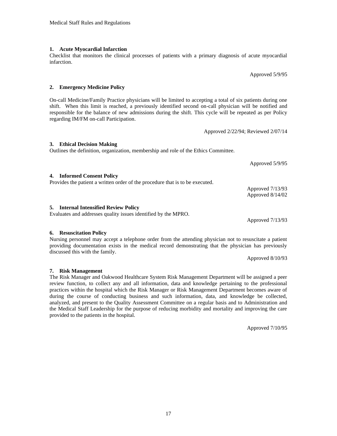#### **1. Acute Myocardial Infarction**

infarction.

**2. Emergency Medicine Policy**

On-call Medicine/Family Practice physicians will be limited to accepting a total of six patients during one shift. When this limit is reached, a previously identified second on-call physician will be notified and responsible for the balance of new admissions during the shift. This cycle will be repeated as per Policy regarding IM/FM on-call Participation.

Checklist that monitors the clinical processes of patients with a primary diagnosis of acute myocardial

Approved 2/22/94; Reviewed 2/07/14

### **3. Ethical Decision Making**

Outlines the definition, organization, membership and role of the Ethics Committee.

**4. Informed Consent Policy** Provides the patient a written order of the procedure that is to be executed. Approved 7/13/93 Approved 8/14/02

#### **5. Internal Intensified Review Policy**

Evaluates and addresses quality issues identified by the MPRO.

Approved 7/13/93

Approved 5/9/95

Approved 5/9/95

### **6. Resuscitation Policy**

Nursing personnel may accept a telephone order from the attending physician not to resuscitate a patient providing documentation exists in the medical record demonstrating that the physician has previously discussed this with the family.

Approved 8/10/93

#### **7. Risk Management**

The Risk Manager and Oakwood Healthcare System Risk Management Department will be assigned a peer review function, to collect any and all information, data and knowledge pertaining to the professional practices within the hospital which the Risk Manager or Risk Management Department becomes aware of during the course of conducting business and such information, data, and knowledge be collected, analyzed, and present to the Quality Assessment Committee on a regular basis and to Administration and the Medical Staff Leadership for the purpose of reducing morbidity and mortality and improving the care provided to the patients in the hospital.

Approved 7/10/95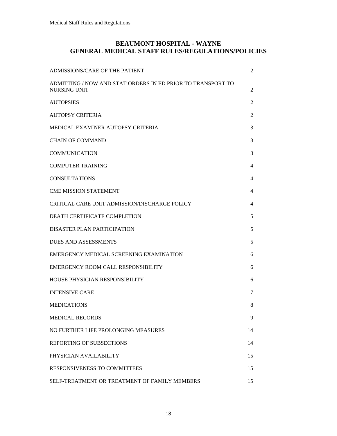#### **BEAUMONT HOSPITAL - WAYNE GENERAL MEDICAL STAFF RULES/REGULATIONS/POLICIES**

| <b>ADMISSIONS/CARE OF THE PATIENT</b>                                              | 2  |
|------------------------------------------------------------------------------------|----|
| ADMITTING / NOW AND STAT ORDERS IN ED PRIOR TO TRANSPORT TO<br><b>NURSING UNIT</b> | 2  |
| <b>AUTOPSIES</b>                                                                   | 2  |
| AUTOPSY CRITERIA                                                                   | 2  |
| MEDICAL EXAMINER AUTOPSY CRITERIA                                                  | 3  |
| <b>CHAIN OF COMMAND</b>                                                            | 3  |
| <b>COMMUNICATION</b>                                                               | 3  |
| <b>COMPUTER TRAINING</b>                                                           | 4  |
| <b>CONSULTATIONS</b>                                                               | 4  |
| <b>CME MISSION STATEMENT</b>                                                       | 4  |
| CRITICAL CARE UNIT ADMISSION/DISCHARGE POLICY                                      | 4  |
| DEATH CERTIFICATE COMPLETION                                                       | 5  |
| DISASTER PLAN PARTICIPATION                                                        | 5  |
| <b>DUES AND ASSESSMENTS</b>                                                        | 5  |
| EMERGENCY MEDICAL SCREENING EXAMINATION                                            | 6  |
| EMERGENCY ROOM CALL RESPONSIBILITY                                                 | 6  |
| HOUSE PHYSICIAN RESPONSIBILITY                                                     | 6  |
| <b>INTENSIVE CARE</b>                                                              | 7  |
| <b>MEDICATIONS</b>                                                                 | 8  |
| <b>MEDICAL RECORDS</b>                                                             | 9  |
| NO FURTHER LIFE PROLONGING MEASURES                                                | 14 |
| REPORTING OF SUBSECTIONS                                                           | 14 |
| PHYSICIAN AVAILABILITY                                                             | 15 |
| RESPONSIVENESS TO COMMITTEES                                                       | 15 |
| SELF-TREATMENT OR TREATMENT OF FAMILY MEMBERS                                      | 15 |